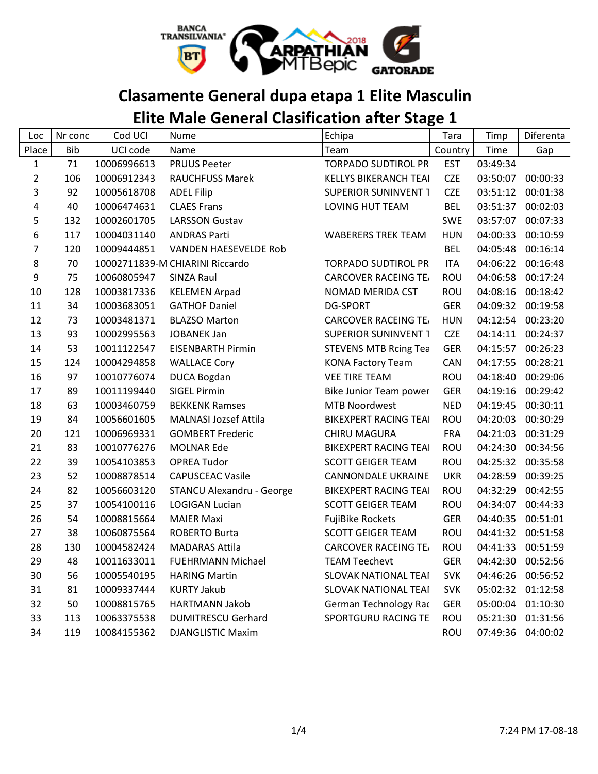

## **Clasamente General dupa etapa 1 Elite Masculin**

## **Elite Male General Clasification after Stage 1**

| Loc            | Nr conc    | Cod UCI     | <b>Nume</b>                      | Echipa                       | Tara       | Timp     | Diferenta         |
|----------------|------------|-------------|----------------------------------|------------------------------|------------|----------|-------------------|
| Place          | <b>Bib</b> | UCI code    | Name                             | Team                         | Country    | Time     | Gap               |
| $\mathbf 1$    | 71         | 10006996613 | <b>PRUUS Peeter</b>              | <b>TORPADO SUDTIROL PR</b>   | <b>EST</b> | 03:49:34 |                   |
| $\overline{2}$ | 106        | 10006912343 | <b>RAUCHFUSS Marek</b>           | <b>KELLYS BIKERANCH TEAI</b> | <b>CZE</b> | 03:50:07 | 00:00:33          |
| 3              | 92         | 10005618708 | <b>ADEL Filip</b>                | <b>SUPERIOR SUNINVENT T</b>  | <b>CZE</b> | 03:51:12 | 00:01:38          |
| 4              | 40         | 10006474631 | <b>CLAES Frans</b>               | LOVING HUT TEAM              | <b>BEL</b> | 03:51:37 | 00:02:03          |
| 5              | 132        | 10002601705 | <b>LARSSON Gustav</b>            |                              | <b>SWE</b> | 03:57:07 | 00:07:33          |
| 6              | 117        | 10004031140 | <b>ANDRAS Parti</b>              | <b>WABERERS TREK TEAM</b>    | <b>HUN</b> | 04:00:33 | 00:10:59          |
| $\overline{7}$ | 120        | 10009444851 | <b>VANDEN HAESEVELDE Rob</b>     |                              | <b>BEL</b> | 04:05:48 | 00:16:14          |
| 8              | 70         |             | 10002711839-M CHIARINI Riccardo  | <b>TORPADO SUDTIROL PR</b>   | <b>ITA</b> | 04:06:22 | 00:16:48          |
| 9              | 75         | 10060805947 | <b>SINZA Raul</b>                | <b>CARCOVER RACEING TE/</b>  | <b>ROU</b> | 04:06:58 | 00:17:24          |
| 10             | 128        | 10003817336 | <b>KELEMEN Arpad</b>             | NOMAD MERIDA CST             | <b>ROU</b> | 04:08:16 | 00:18:42          |
| 11             | 34         | 10003683051 | <b>GATHOF Daniel</b>             | <b>DG-SPORT</b>              | <b>GER</b> |          | 04:09:32 00:19:58 |
| 12             | 73         | 10003481371 | <b>BLAZSO Marton</b>             | <b>CARCOVER RACEING TE/</b>  | <b>HUN</b> | 04:12:54 | 00:23:20          |
| 13             | 93         | 10002995563 | <b>JOBANEK Jan</b>               | <b>SUPERIOR SUNINVENT T</b>  | <b>CZE</b> | 04:14:11 | 00:24:37          |
| 14             | 53         | 10011122547 | <b>EISENBARTH Pirmin</b>         | <b>STEVENS MTB Rcing Tea</b> | <b>GER</b> | 04:15:57 | 00:26:23          |
| 15             | 124        | 10004294858 | <b>WALLACE Cory</b>              | <b>KONA Factory Team</b>     | CAN        | 04:17:55 | 00:28:21          |
| 16             | 97         | 10010776074 | <b>DUCA Bogdan</b>               | <b>VEE TIRE TEAM</b>         | <b>ROU</b> | 04:18:40 | 00:29:06          |
| 17             | 89         | 10011199440 | <b>SIGEL Pirmin</b>              | Bike Junior Team power       | <b>GER</b> | 04:19:16 | 00:29:42          |
| 18             | 63         | 10003460759 | <b>BEKKENK Ramses</b>            | <b>MTB Noordwest</b>         | <b>NED</b> | 04:19:45 | 00:30:11          |
| 19             | 84         | 10056601605 | <b>MALNASI Jozsef Attila</b>     | <b>BIKEXPERT RACING TEAI</b> | <b>ROU</b> | 04:20:03 | 00:30:29          |
| 20             | 121        | 10006969331 | <b>GOMBERT Frederic</b>          | CHIRU MAGURA                 | <b>FRA</b> | 04:21:03 | 00:31:29          |
| 21             | 83         | 10010776276 | <b>MOLNAR Ede</b>                | <b>BIKEXPERT RACING TEAI</b> | <b>ROU</b> | 04:24:30 | 00:34:56          |
| 22             | 39         | 10054103853 | <b>OPREA Tudor</b>               | <b>SCOTT GEIGER TEAM</b>     | <b>ROU</b> | 04:25:32 | 00:35:58          |
| 23             | 52         | 10008878514 | <b>CAPUSCEAC Vasile</b>          | <b>CANNONDALE UKRAINE</b>    | <b>UKR</b> | 04:28:59 | 00:39:25          |
| 24             | 82         | 10056603120 | <b>STANCU Alexandru - George</b> | <b>BIKEXPERT RACING TEAI</b> | <b>ROU</b> | 04:32:29 | 00:42:55          |
| 25             | 37         | 10054100116 | <b>LOGIGAN Lucian</b>            | <b>SCOTT GEIGER TEAM</b>     | ROU        | 04:34:07 | 00:44:33          |
| 26             | 54         | 10008815664 | <b>MAIER Maxi</b>                | <b>FujiBike Rockets</b>      | <b>GER</b> | 04:40:35 | 00:51:01          |
| 27             | 38         | 10060875564 | <b>ROBERTO Burta</b>             | <b>SCOTT GEIGER TEAM</b>     | ROU        | 04:41:32 | 00:51:58          |
| 28             | 130        | 10004582424 | <b>MADARAS Attila</b>            | <b>CARCOVER RACEING TE/</b>  | <b>ROU</b> | 04:41:33 | 00:51:59          |
| 29             | 48         | 10011633011 | <b>FUEHRMANN Michael</b>         | <b>TEAM Teechevt</b>         | <b>GER</b> | 04:42:30 | 00:52:56          |
| 30             | 56         | 10005540195 | <b>HARING Martin</b>             | <b>SLOVAK NATIONAL TEAI</b>  | <b>SVK</b> | 04:46:26 | 00:56:52          |
| 31             | 81         | 10009337444 | <b>KURTY Jakub</b>               | <b>SLOVAK NATIONAL TEAI</b>  | <b>SVK</b> | 05:02:32 | 01:12:58          |
| 32             | 50         | 10008815765 | <b>HARTMANN Jakob</b>            | German Technology Rac        | <b>GER</b> | 05:00:04 | 01:10:30          |
| 33             | 113        | 10063375538 | <b>DUMITRESCU Gerhard</b>        | SPORTGURU RACING TE          | <b>ROU</b> | 05:21:30 | 01:31:56          |
| 34             | 119        | 10084155362 | <b>DJANGLISTIC Maxim</b>         |                              | <b>ROU</b> | 07:49:36 | 04:00:02          |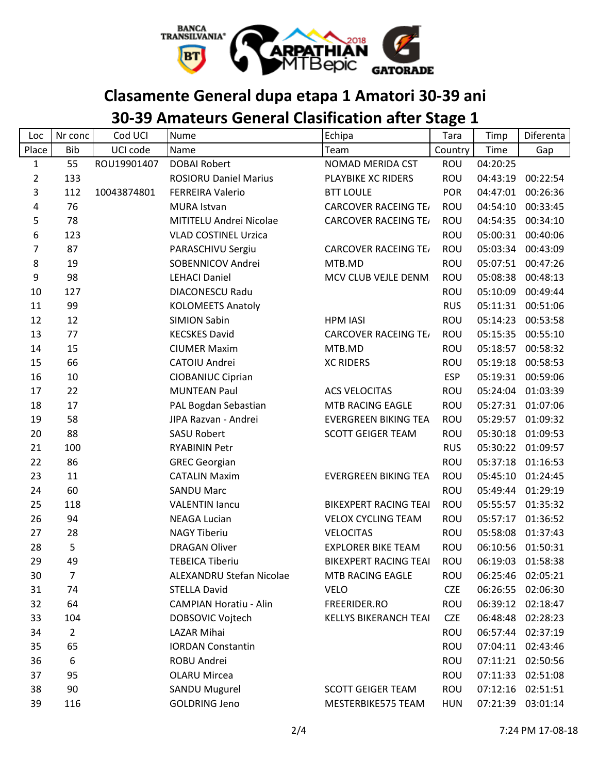

## **Clasamente General dupa etapa 1 Amatori 30-39 ani**

# **30-39 Amateurs General Clasification after Stage 1**

| Loc            | Nr conc        | Cod UCI     | <b>Nume</b>                   | Echipa                       | Tara       | Timp     | Diferenta         |
|----------------|----------------|-------------|-------------------------------|------------------------------|------------|----------|-------------------|
| Place          | <b>Bib</b>     | UCI code    | Name                          | Team                         | Country    | Time     | Gap               |
| $\mathbf{1}$   | 55             | ROU19901407 | <b>DOBAI Robert</b>           | NOMAD MERIDA CST             | <b>ROU</b> | 04:20:25 |                   |
| $\overline{2}$ | 133            |             | <b>ROSIORU Daniel Marius</b>  | PLAYBIKE XC RIDERS           | ROU        | 04:43:19 | 00:22:54          |
| 3              | 112            | 10043874801 | <b>FERREIRA Valerio</b>       | <b>BTT LOULE</b>             | <b>POR</b> | 04:47:01 | 00:26:36          |
| 4              | 76             |             | <b>MURA Istvan</b>            | <b>CARCOVER RACEING TE/</b>  | ROU        | 04:54:10 | 00:33:45          |
| 5              | 78             |             | MITITELU Andrei Nicolae       | <b>CARCOVER RACEING TE/</b>  | ROU        | 04:54:35 | 00:34:10          |
| 6              | 123            |             | <b>VLAD COSTINEL Urzica</b>   |                              | ROU        | 05:00:31 | 00:40:06          |
| 7              | 87             |             | PARASCHIVU Sergiu             | <b>CARCOVER RACEING TE/</b>  | <b>ROU</b> | 05:03:34 | 00:43:09          |
| 8              | 19             |             | SOBENNICOV Andrei             | MTB.MD                       | ROU        | 05:07:51 | 00:47:26          |
| 9              | 98             |             | <b>LEHACI Daniel</b>          | MCV CLUB VEJLE DENM.         | ROU        | 05:08:38 | 00:48:13          |
| 10             | 127            |             | <b>DIACONESCU Radu</b>        |                              | ROU        | 05:10:09 | 00:49:44          |
| 11             | 99             |             | <b>KOLOMEETS Anatoly</b>      |                              | <b>RUS</b> | 05:11:31 | 00:51:06          |
| 12             | 12             |             | <b>SIMION Sabin</b>           | <b>HPM IASI</b>              | ROU        | 05:14:23 | 00:53:58          |
| 13             | 77             |             | <b>KECSKES David</b>          | <b>CARCOVER RACEING TE/</b>  | ROU        | 05:15:35 | 00:55:10          |
| 14             | 15             |             | <b>CIUMER Maxim</b>           | MTB.MD                       | <b>ROU</b> | 05:18:57 | 00:58:32          |
| 15             | 66             |             | CATOIU Andrei                 | <b>XC RIDERS</b>             | ROU        | 05:19:18 | 00:58:53          |
| 16             | 10             |             | <b>CIOBANIUC Ciprian</b>      |                              | <b>ESP</b> | 05:19:31 | 00:59:06          |
| 17             | 22             |             | <b>MUNTEAN Paul</b>           | <b>ACS VELOCITAS</b>         | ROU        | 05:24:04 | 01:03:39          |
| 18             | 17             |             | PAL Bogdan Sebastian          | MTB RACING EAGLE             | ROU        | 05:27:31 | 01:07:06          |
| 19             | 58             |             | JIPA Razvan - Andrei          | <b>EVERGREEN BIKING TEA</b>  | ROU        | 05:29:57 | 01:09:32          |
| 20             | 88             |             | <b>SASU Robert</b>            | <b>SCOTT GEIGER TEAM</b>     | ROU        | 05:30:18 | 01:09:53          |
| 21             | 100            |             | <b>RYABININ Petr</b>          |                              | <b>RUS</b> | 05:30:22 | 01:09:57          |
| 22             | 86             |             | <b>GREC Georgian</b>          |                              | ROU        | 05:37:18 | 01:16:53          |
| 23             | 11             |             | <b>CATALIN Maxim</b>          | <b>EVERGREEN BIKING TEA</b>  | ROU        | 05:45:10 | 01:24:45          |
| 24             | 60             |             | <b>SANDU Marc</b>             |                              | ROU        | 05:49:44 | 01:29:19          |
| 25             | 118            |             | <b>VALENTIN lancu</b>         | <b>BIKEXPERT RACING TEAI</b> | ROU        | 05:55:57 | 01:35:32          |
| 26             | 94             |             | <b>NEAGA Lucian</b>           | <b>VELOX CYCLING TEAM</b>    | ROU        | 05:57:17 | 01:36:52          |
| 27             | 28             |             | <b>NAGY Tiberiu</b>           | <b>VELOCITAS</b>             | ROU        | 05:58:08 | 01:37:43          |
| 28             | 5              |             | <b>DRAGAN Oliver</b>          | <b>EXPLORER BIKE TEAM</b>    | ROU        | 06:10:56 | 01:50:31          |
| 29             | 49             |             | <b>TEBEICA Tiberiu</b>        | <b>BIKEXPERT RACING TEAI</b> | <b>ROU</b> | 06:19:03 | 01:58:38          |
| 30             | 7              |             | ALEXANDRU Stefan Nicolae      | MTB RACING EAGLE             | <b>ROU</b> | 06:25:46 | 02:05:21          |
| 31             | 74             |             | <b>STELLA David</b>           | VELO                         | <b>CZE</b> |          | 06:26:55 02:06:30 |
| 32             | 64             |             | <b>CAMPIAN Horatiu - Alin</b> | FREERIDER.RO                 | ROU        | 06:39:12 | 02:18:47          |
| 33             | 104            |             | DOBSOVIC Vojtech              | <b>KELLYS BIKERANCH TEAI</b> | <b>CZE</b> | 06:48:48 | 02:28:23          |
| 34             | $\overline{2}$ |             | LAZAR Mihai                   |                              | ROU        |          | 06:57:44 02:37:19 |
| 35             | 65             |             | <b>IORDAN Constantin</b>      |                              | ROU        |          | 07:04:11 02:43:46 |
| 36             | 6              |             | ROBU Andrei                   |                              | ROU        |          | 07:11:21 02:50:56 |
| 37             | 95             |             | <b>OLARU Mircea</b>           |                              | ROU        | 07:11:33 | 02:51:08          |
| 38             | 90             |             | SANDU Mugurel                 | <b>SCOTT GEIGER TEAM</b>     | ROU        | 07:12:16 | 02:51:51          |
| 39             | 116            |             | <b>GOLDRING Jeno</b>          | MESTERBIKE575 TEAM           | <b>HUN</b> | 07:21:39 | 03:01:14          |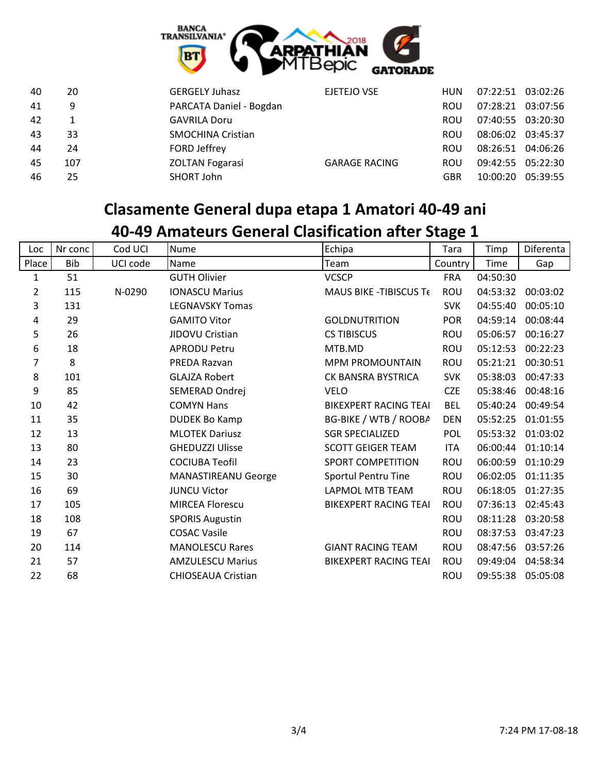

| 40 | 20  | <b>GERGELY Juhasz</b>    | EJETEJO VSE          | <b>HUN</b> | 07:22:51 03:02:26 |                   |
|----|-----|--------------------------|----------------------|------------|-------------------|-------------------|
| 41 | 9   | PARCATA Daniel - Bogdan  |                      | <b>ROU</b> | 07:28:21 03:07:56 |                   |
| 42 |     | <b>GAVRILA Doru</b>      |                      | <b>ROU</b> | 07:40:55 03:20:30 |                   |
| 43 | 33  | <b>SMOCHINA Cristian</b> |                      | <b>ROU</b> | 08:06:02 03:45:37 |                   |
| 44 | 24  | FORD Jeffrey             |                      | <b>ROU</b> | 08:26:51 04:06:26 |                   |
| 45 | 107 | <b>ZOLTAN Fogarasi</b>   | <b>GARAGE RACING</b> | <b>ROU</b> | 09:42:55 05:22:30 |                   |
| 46 | 25  | SHORT John               |                      | <b>GBR</b> |                   | 10:00:20 05:39:55 |

## **Clasamente General dupa etapa 1 Amatori 40-49 ani**

|  |  |  |  | 40-49 Amateurs General Clasification after Stage 1 |
|--|--|--|--|----------------------------------------------------|
|--|--|--|--|----------------------------------------------------|

| Loc            | Nr conc | Cod UCI  | Nume                       | Echipa                        | Tara       | Timp     | Diferenta |
|----------------|---------|----------|----------------------------|-------------------------------|------------|----------|-----------|
| Place          | Bib     | UCI code | Name                       | Team                          | Country    | Time     | Gap       |
| 1              | 51      |          | <b>GUTH Olivier</b>        | <b>VCSCP</b>                  | <b>FRA</b> | 04:50:30 |           |
| $\overline{2}$ | 115     | N-0290   | <b>IONASCU Marius</b>      | <b>MAUS BIKE -TIBISCUS Te</b> | <b>ROU</b> | 04:53:32 | 00:03:02  |
| 3              | 131     |          | <b>LEGNAVSKY Tomas</b>     |                               | <b>SVK</b> | 04:55:40 | 00:05:10  |
| 4              | 29      |          | <b>GAMITO Vitor</b>        | <b>GOLDNUTRITION</b>          | <b>POR</b> | 04:59:14 | 00:08:44  |
| 5              | 26      |          | JIDOVU Cristian            | <b>CS TIBISCUS</b>            | <b>ROU</b> | 05:06:57 | 00:16:27  |
| 6              | 18      |          | <b>APRODU Petru</b>        | MTB.MD                        | <b>ROU</b> | 05:12:53 | 00:22:23  |
| 7              | 8       |          | PREDA Razvan               | <b>MPM PROMOUNTAIN</b>        | <b>ROU</b> | 05:21:21 | 00:30:51  |
| $\bf 8$        | 101     |          | <b>GLAJZA Robert</b>       | CK BANSRA BYSTRICA            | <b>SVK</b> | 05:38:03 | 00:47:33  |
| 9              | 85      |          | SEMERAD Ondrej             | <b>VELO</b>                   | <b>CZE</b> | 05:38:46 | 00:48:16  |
| 10             | 42      |          | <b>COMYN Hans</b>          | <b>BIKEXPERT RACING TEAI</b>  | <b>BEL</b> | 05:40:24 | 00:49:54  |
| 11             | 35      |          | <b>DUDEK Bo Kamp</b>       | BG-BIKE / WTB / ROOBA         | <b>DEN</b> | 05:52:25 | 01:01:55  |
| 12             | 13      |          | <b>MLOTEK Dariusz</b>      | <b>SGR SPECIALIZED</b>        | <b>POL</b> | 05:53:32 | 01:03:02  |
| 13             | 80      |          | <b>GHEDUZZI Ulisse</b>     | <b>SCOTT GEIGER TEAM</b>      | <b>ITA</b> | 06:00:44 | 01:10:14  |
| 14             | 23      |          | <b>COCIUBA Teofil</b>      | <b>SPORT COMPETITION</b>      | ROU        | 06:00:59 | 01:10:29  |
| 15             | 30      |          | <b>MANASTIREANU George</b> | Sportul Pentru Tine           | ROU        | 06:02:05 | 01:11:35  |
| 16             | 69      |          | <b>JUNCU Victor</b>        | <b>LAPMOL MTB TEAM</b>        | ROU        | 06:18:05 | 01:27:35  |
| 17             | 105     |          | <b>MIRCEA Florescu</b>     | <b>BIKEXPERT RACING TEAI</b>  | ROU        | 07:36:13 | 02:45:43  |
| 18             | 108     |          | <b>SPORIS Augustin</b>     |                               | <b>ROU</b> | 08:11:28 | 03:20:58  |
| 19             | 67      |          | <b>COSAC Vasile</b>        |                               | <b>ROU</b> | 08:37:53 | 03:47:23  |
| 20             | 114     |          | <b>MANOLESCU Rares</b>     | <b>GIANT RACING TEAM</b>      | ROU        | 08:47:56 | 03:57:26  |
| 21             | 57      |          | <b>AMZULESCU Marius</b>    | <b>BIKEXPERT RACING TEAI</b>  | <b>ROU</b> | 09:49:04 | 04:58:34  |
| 22             | 68      |          | <b>CHIOSEAUA Cristian</b>  |                               | <b>ROU</b> | 09:55:38 | 05:05:08  |